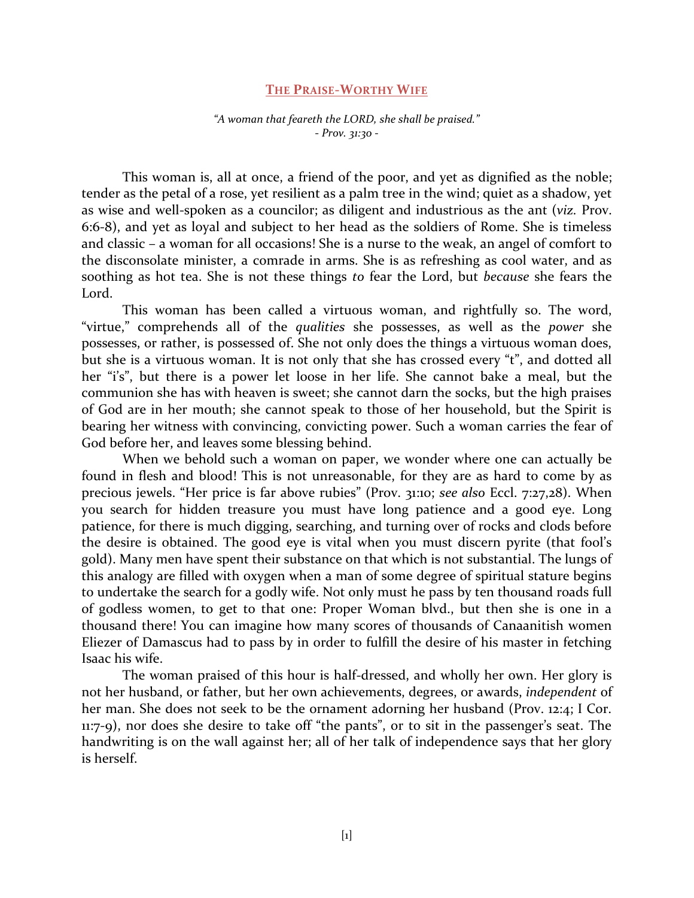## **THE PRAISE-WORTHY WIFE**

*"A woman that feareth the LORD, she shall be praised."* - *Prov. 31:30 -*

This woman is, all at once, a friend of the poor, and yet as dignified as the noble; tender as the petal of a rose, yet resilient as a palm tree in the wind; quiet as a shadow, yet as wise and well-spoken as a councilor; as diligent and industrious as the ant (*viz.* Prov. 6:6-8), and yet as loyal and subject to her head as the soldiers of Rome. She is timeless and classic – a woman for all occasions! She is a nurse to the weak, an angel of comfort to the disconsolate minister, a comrade in arms. She is as refreshing as cool water, and as soothing as hot tea. She is not these things *to* fear the Lord, but *because* she fears the Lord.

This woman has been called a virtuous woman, and rightfully so. The word, "virtue," comprehends all of the *qualities* she possesses, as well as the *power* she possesses, or rather, is possessed of. She not only does the things a virtuous woman does, but she is a virtuous woman. It is not only that she has crossed every "t", and dotted all her "i's", but there is a power let loose in her life. She cannot bake a meal, but the communion she has with heaven is sweet; she cannot darn the socks, but the high praises of God are in her mouth; she cannot speak to those of her household, but the Spirit is bearing her witness with convincing, convicting power. Such a woman carries the fear of God before her, and leaves some blessing behind.

When we behold such a woman on paper, we wonder where one can actually be found in flesh and blood! This is not unreasonable, for they are as hard to come by as precious jewels. "Her price is far above rubies" (Prov. 31:10; *see also* Eccl. 7:27,28). When you search for hidden treasure you must have long patience and a good eye. Long patience, for there is much digging, searching, and turning over of rocks and clods before the desire is obtained. The good eye is vital when you must discern pyrite (that fool's gold). Many men have spent their substance on that which is not substantial. The lungs of this analogy are filled with oxygen when a man of some degree of spiritual stature begins to undertake the search for a godly wife. Not only must he pass by ten thousand roads full of godless women, to get to that one: Proper Woman blvd., but then she is one in a thousand there! You can imagine how many scores of thousands of Canaanitish women Eliezer of Damascus had to pass by in order to fulfill the desire of his master in fetching Isaac his wife.

The woman praised of this hour is half-dressed, and wholly her own. Her glory is not her husband, or father, but her own achievements, degrees, or awards, *independent* of her man. She does not seek to be the ornament adorning her husband (Prov. 12:4; I Cor. 11:7-9), nor does she desire to take off "the pants", or to sit in the passenger's seat. The handwriting is on the wall against her; all of her talk of independence says that her glory is herself.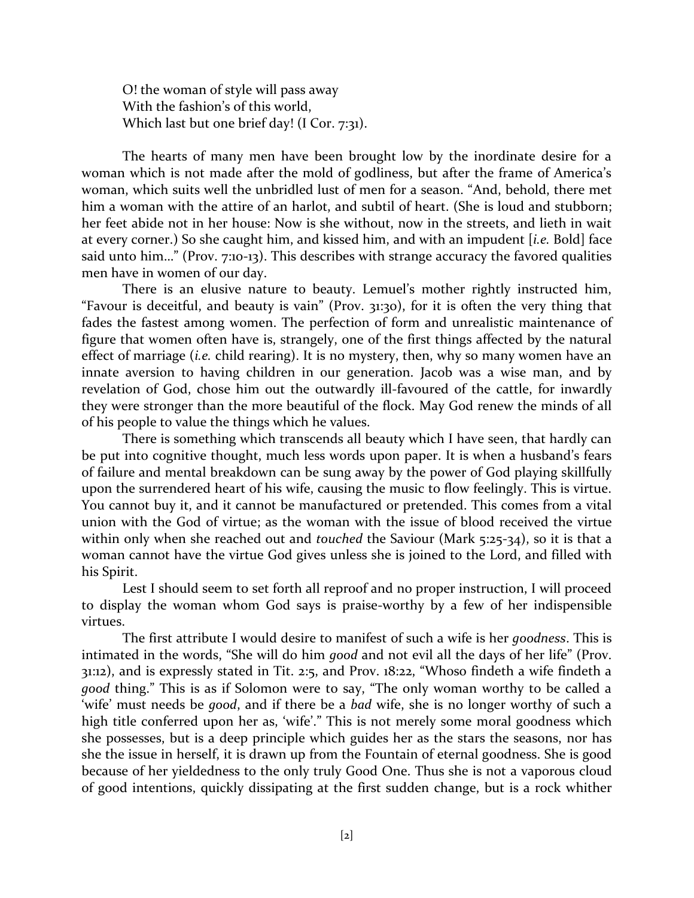O! the woman of style will pass away With the fashion's of this world, Which last but one brief day! (I Cor. 7:31).

The hearts of many men have been brought low by the inordinate desire for a woman which is not made after the mold of godliness, but after the frame of America's woman, which suits well the unbridled lust of men for a season. "And, behold, there met him a woman with the attire of an harlot, and subtil of heart. (She is loud and stubborn; her feet abide not in her house: Now is she without, now in the streets, and lieth in wait at every corner.) So she caught him, and kissed him, and with an impudent [*i.e.* Bold] face said unto him…" (Prov. 7:10-13). This describes with strange accuracy the favored qualities men have in women of our day.

There is an elusive nature to beauty. Lemuel's mother rightly instructed him, "Favour is deceitful, and beauty is vain" (Prov. 31:30), for it is often the very thing that fades the fastest among women. The perfection of form and unrealistic maintenance of figure that women often have is, strangely, one of the first things affected by the natural effect of marriage (*i.e.* child rearing). It is no mystery, then, why so many women have an innate aversion to having children in our generation. Jacob was a wise man, and by revelation of God, chose him out the outwardly ill-favoured of the cattle, for inwardly they were stronger than the more beautiful of the flock. May God renew the minds of all of his people to value the things which he values.

There is something which transcends all beauty which I have seen, that hardly can be put into cognitive thought, much less words upon paper. It is when a husband's fears of failure and mental breakdown can be sung away by the power of God playing skillfully upon the surrendered heart of his wife, causing the music to flow feelingly. This is virtue. You cannot buy it, and it cannot be manufactured or pretended. This comes from a vital union with the God of virtue; as the woman with the issue of blood received the virtue within only when she reached out and *touched* the Saviour (Mark 5:25-34), so it is that a woman cannot have the virtue God gives unless she is joined to the Lord, and filled with his Spirit.

Lest I should seem to set forth all reproof and no proper instruction, I will proceed to display the woman whom God says is praise-worthy by a few of her indispensible virtues.

The first attribute I would desire to manifest of such a wife is her *goodness*. This is intimated in the words, "She will do him *good* and not evil all the days of her life" (Prov. 31:12), and is expressly stated in Tit. 2:5, and Prov. 18:22, "Whoso findeth a wife findeth a *good* thing." This is as if Solomon were to say, "The only woman worthy to be called a 'wife' must needs be *good*, and if there be a *bad* wife, she is no longer worthy of such a high title conferred upon her as, 'wife'." This is not merely some moral goodness which she possesses, but is a deep principle which guides her as the stars the seasons, nor has she the issue in herself, it is drawn up from the Fountain of eternal goodness. She is good because of her yieldedness to the only truly Good One. Thus she is not a vaporous cloud of good intentions, quickly dissipating at the first sudden change, but is a rock whither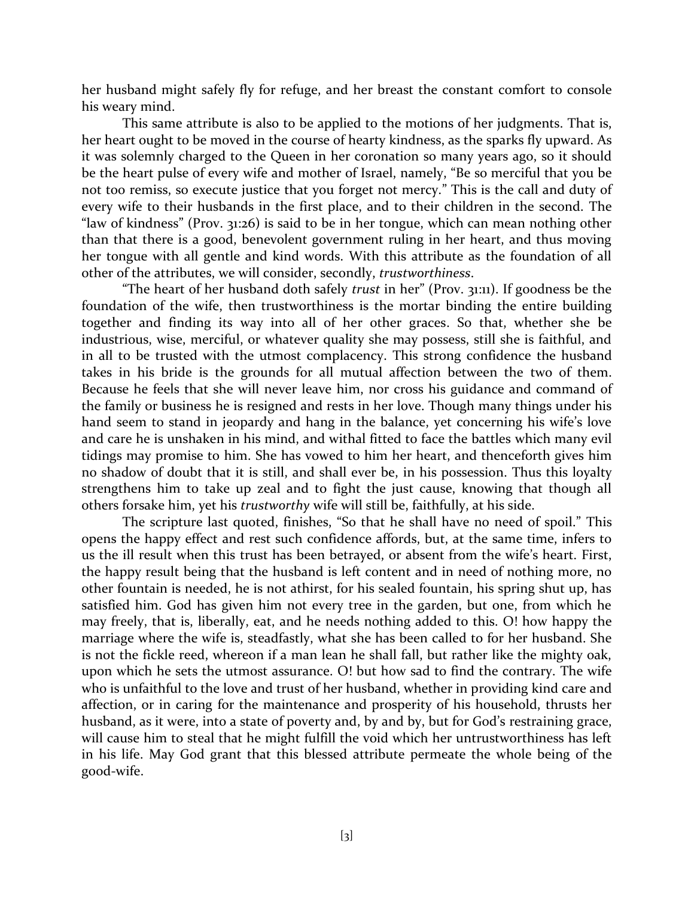her husband might safely fly for refuge, and her breast the constant comfort to console his weary mind.

This same attribute is also to be applied to the motions of her judgments. That is, her heart ought to be moved in the course of hearty kindness, as the sparks fly upward. As it was solemnly charged to the Queen in her coronation so many years ago, so it should be the heart pulse of every wife and mother of Israel, namely, "Be so merciful that you be not too remiss, so execute justice that you forget not mercy." This is the call and duty of every wife to their husbands in the first place, and to their children in the second. The "law of kindness" (Prov. 31:26) is said to be in her tongue, which can mean nothing other than that there is a good, benevolent government ruling in her heart, and thus moving her tongue with all gentle and kind words. With this attribute as the foundation of all other of the attributes, we will consider, secondly, *trustworthiness*.

"The heart of her husband doth safely *trust* in her" (Prov. 31:11). If goodness be the foundation of the wife, then trustworthiness is the mortar binding the entire building together and finding its way into all of her other graces. So that, whether she be industrious, wise, merciful, or whatever quality she may possess, still she is faithful, and in all to be trusted with the utmost complacency. This strong confidence the husband takes in his bride is the grounds for all mutual affection between the two of them. Because he feels that she will never leave him, nor cross his guidance and command of the family or business he is resigned and rests in her love. Though many things under his hand seem to stand in jeopardy and hang in the balance, yet concerning his wife's love and care he is unshaken in his mind, and withal fitted to face the battles which many evil tidings may promise to him. She has vowed to him her heart, and thenceforth gives him no shadow of doubt that it is still, and shall ever be, in his possession. Thus this loyalty strengthens him to take up zeal and to fight the just cause, knowing that though all others forsake him, yet his *trustworthy* wife will still be, faithfully, at his side.

The scripture last quoted, finishes, "So that he shall have no need of spoil." This opens the happy effect and rest such confidence affords, but, at the same time, infers to us the ill result when this trust has been betrayed, or absent from the wife's heart. First, the happy result being that the husband is left content and in need of nothing more, no other fountain is needed, he is not athirst, for his sealed fountain, his spring shut up, has satisfied him. God has given him not every tree in the garden, but one, from which he may freely, that is, liberally, eat, and he needs nothing added to this. O! how happy the marriage where the wife is, steadfastly, what she has been called to for her husband. She is not the fickle reed, whereon if a man lean he shall fall, but rather like the mighty oak, upon which he sets the utmost assurance. O! but how sad to find the contrary. The wife who is unfaithful to the love and trust of her husband, whether in providing kind care and affection, or in caring for the maintenance and prosperity of his household, thrusts her husband, as it were, into a state of poverty and, by and by, but for God's restraining grace, will cause him to steal that he might fulfill the void which her untrustworthiness has left in his life. May God grant that this blessed attribute permeate the whole being of the good-wife.